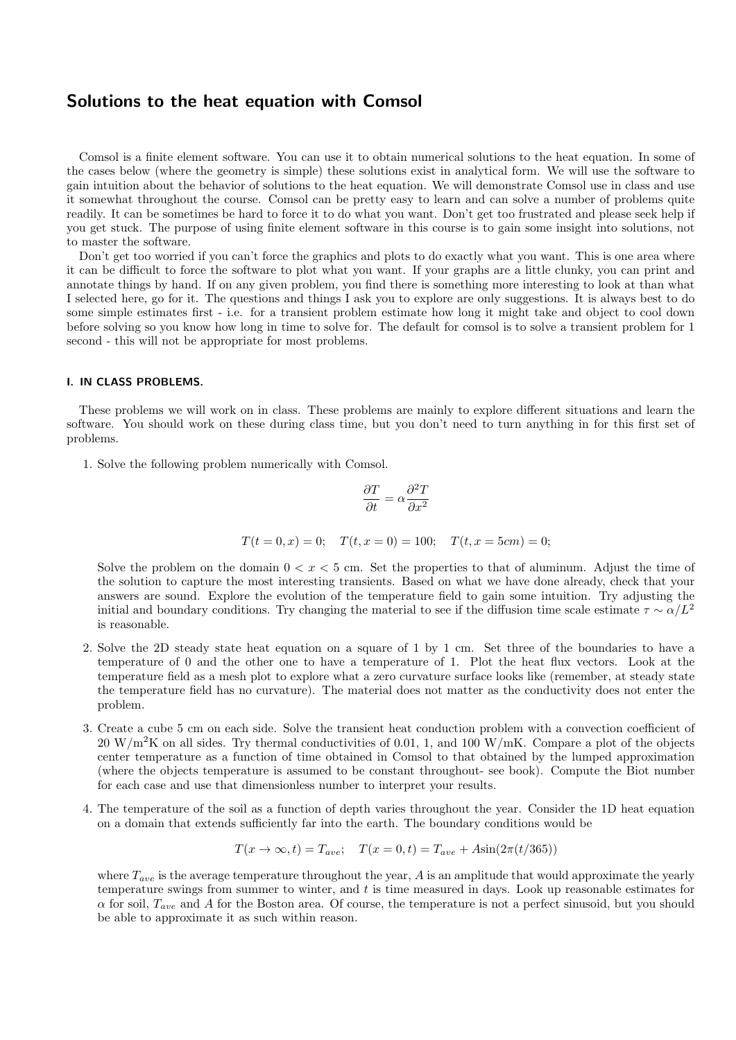## **Solutions to the heat equation with Comsol**

Comsol is a finite element software. You can use it to obtain numerical solutions to the heat equation. In some of the cases below (where the geometry is simple) these solutions exist in analytical form. We will use the software to gain intuition about the behavior of solutions to the heat equation. We will demonstrate Comsol use in class and use it somewhat throughout the course. Comsol can be pretty easy to learn and can solve a number of problems quite readily. It can be sometimes be hard to force it to do what you want. Don't get too frustrated and please seek help if you get stuck. The purpose of using finite element software in this course is to gain some insight into solutions, not to master the software.

Don't get too worried if you can't force the graphics and plots to do exactly what you want. This is one area where it can be difficult to force the software to plot what you want. If your graphs are a little clunky, you can print and annotate things by hand. If on any given problem, you find there is something more interesting to look at than what I selected here, go for it. The questions and things I ask you to explore are only suggestions. It is always best to do some simple estimates first - i.e. for a transient problem estimate how long it might take and object to cool down before solving so you know how long in time to solve for. The default for comsol is to solve a transient problem for 1 second - this will not be appropriate for most problems.

## **I. IN CLASS PROBLEMS.**

These problems we will work on in class. These problems are mainly to explore different situations and learn the software. You should work on these during class time, but you don't need to turn anything in for this first set of problems.

1. Solve the following problem numerically with Comsol.

$$
\frac{\partial T}{\partial t} = \alpha \frac{\partial^2 T}{\partial x^2}
$$

$$
T(t = 0, x) = 0;
$$
  $T(t, x = 0) = 100;$   $T(t, x = 5cm) = 0;$ 

Solve the problem on the domain  $0 < x < 5$  cm. Set the properties to that of aluminum. Adjust the time of the solution to capture the most interesting transients. Based on what we have done already, check that your answers are sound. Explore the evolution of the temperature field to gain some intuition. Try adjusting the initial and boundary conditions. Try changing the material to see if the diffusion time scale estimate  $\tau \sim \alpha/L^2$ is reasonable.

- 2. Solve the 2D steady state heat equation on a square of 1 by 1 cm. Set three of the boundaries to have a temperature of 0 and the other one to have a temperature of 1. Plot the heat flux vectors. Look at the temperature field as a mesh plot to explore what a zero curvature surface looks like (remember, at steady state the temperature field has no curvature). The material does not matter as the conductivity does not enter the problem.
- 3. Create a cube 5 cm on each side. Solve the transient heat conduction problem with a convection coefficient of 20 W*/*m<sup>2</sup>K on all sides. Try thermal conductivities of 0.01, 1, and 100 W*/*mK. Compare a plot of the objects center temperature as a function of time obtained in Comsol to that obtained by the lumped approximation (where the objects temperature is assumed to be constant throughout- see book). Compute the Biot number for each case and use that dimensionless number to interpret your results.
- 4. The temperature of the soil as a function of depth varies throughout the year. Consider the 1D heat equation on a domain that extends sufficiently far into the earth. The boundary conditions would be

$$
T(x \to \infty, t) = T_{ave}; \quad T(x = 0, t) = T_{ave} + A\sin(2\pi(t/365))
$$

where *Tave* is the average temperature throughout the year, *A* is an amplitude that would approximate the yearly temperature swings from summer to winter, and *t* is time measured in days. Look up reasonable estimates for  $\alpha$  for soil,  $T_{ave}$  and *A* for the Boston area. Of course, the temperature is not a perfect sinusoid, but you should be able to approximate it as such within reason.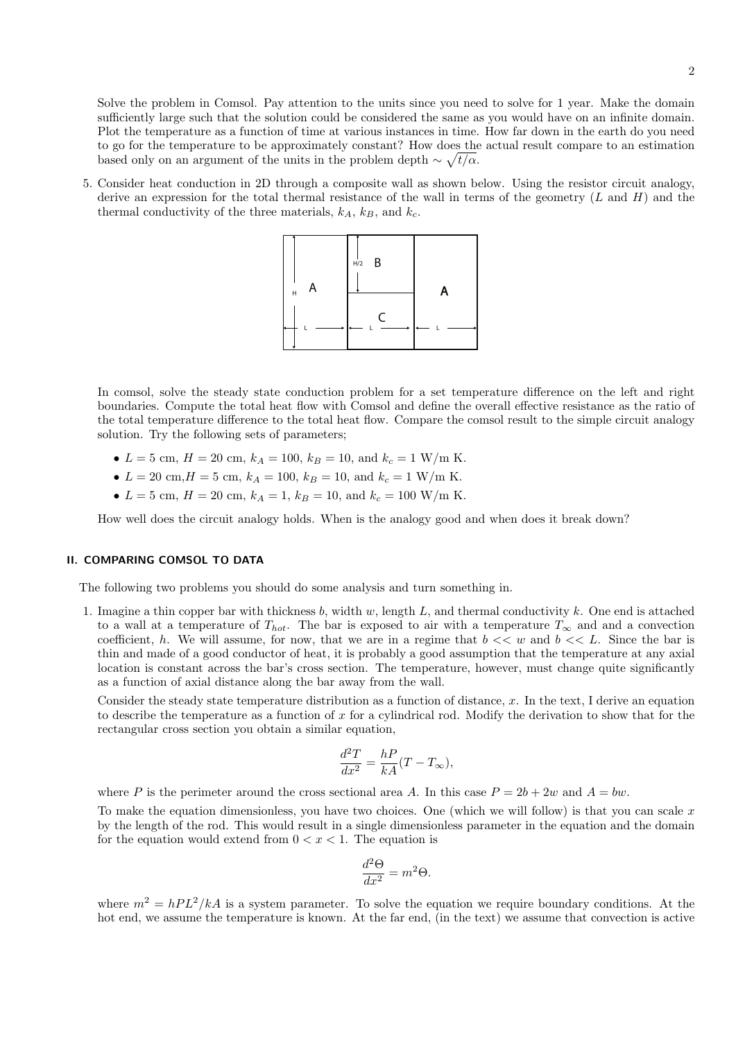Solve the problem in Comsol. Pay attention to the units since you need to solve for 1 year. Make the domain sufficiently large such that the solution could be considered the same as you would have on an infinite domain. Plot the temperature as a function of time at various instances in time. How far down in the earth do you need to go for the temperature to be approximately constant? How does the actual result compare to an estimation based only on an argument of the units in the problem depth  $\sim \sqrt{t/\alpha}$ .

5. Consider heat conduction in 2D through a composite wall as shown below. Using the resistor circuit analogy, derive an expression for the total thermal resistance of the wall in terms of the geometry (*L* and *H*) and the thermal conductivity of the three materials,  $k_A$ ,  $k_B$ , and  $k_C$ .



In comsol, solve the steady state conduction problem for a set temperature difference on the left and right boundaries. Compute the total heat flow with Comsol and define the overall effective resistance as the ratio of the total temperature difference to the total heat flow. Compare the comsol result to the simple circuit analogy solution. Try the following sets of parameters;

- $L = 5$  cm,  $H = 20$  cm,  $k_A = 100$ ,  $k_B = 10$ , and  $k_c = 1$  W/m K.
- $L = 20$  cm,  $H = 5$  cm,  $k_A = 100$ ,  $k_B = 10$ , and  $k_c = 1$  W/m K.
- $L = 5$  cm,  $H = 20$  cm,  $k_A = 1$ ,  $k_B = 10$ , and  $k_c = 100$  W/m K.

How well does the circuit analogy holds. When is the analogy good and when does it break down?

## **II. COMPARING COMSOL TO DATA**

The following two problems you should do some analysis and turn something in.

1. Imagine a thin copper bar with thickness *b*, width *w*, length *L*, and thermal conductivity *k*. One end is attached to a wall at a temperature of  $T_{hot}$ . The bar is exposed to air with a temperature  $T_{\infty}$  and and a convection coefficient, *h*. We will assume, for now, that we are in a regime that  $b \ll w$  and  $b \ll L$ . Since the bar is thin and made of a good conductor of heat, it is probably a good assumption that the temperature at any axial location is constant across the bar's cross section. The temperature, however, must change quite significantly as a function of axial distance along the bar away from the wall.

Consider the steady state temperature distribution as a function of distance, *x*. In the text, I derive an equation to describe the temperature as a function of *x* for a cylindrical rod. Modify the derivation to show that for the rectangular cross section you obtain a similar equation,

$$
\frac{d^2T}{dx^2} = \frac{hP}{kA}(T - T_{\infty}),
$$

where *P* is the perimeter around the cross sectional area *A*. In this case  $P = 2b + 2w$  and  $A = bw$ .

To make the equation dimensionless, you have two choices. One (which we will follow) is that you can scale *x* by the length of the rod. This would result in a single dimensionless parameter in the equation and the domain for the equation would extend from  $0 < x < 1$ . The equation is

$$
\frac{d^2\Theta}{dx^2} = m^2\Theta.
$$

where  $m^2 = hPL^2/kA$  is a system parameter. To solve the equation we require boundary conditions. At the hot end, we assume the temperature is known. At the far end, (in the text) we assume that convection is active